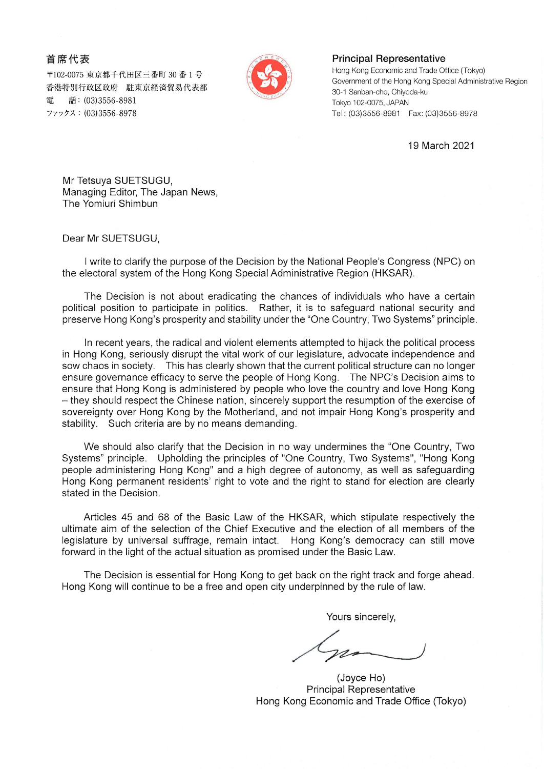首席代表

〒102-0075 東京都千代田区三番町 30 番1号 香港特別行政区政府 駐東京経済貿易代表部 雷 話: (03)3556-8981 ファックス: (03)3556-8978



## **Principal Representative**

Hong Kong Economic and Trade Office (Tokyo) Government of the Hong Kong Special Administrative Region 30-1 Sanban-cho, Chiyoda-ku Tokyo 102-0075, JAPAN 

19 March 2021

Mr Tetsuya SUETSUGU, Managing Editor, The Japan News, The Yomiuri Shimbun

Dear Mr SUETSUGU,

I write to clarify the purpose of the Decision by the National People's Congress (NPC) on the electoral system of the Hong Kong Special Administrative Region (HKSAR).

The Decision is not about eradicating the chances of individuals who have a certain political position to participate in politics. Rather, it is to safeguard national security and preserve Hong Kong's prosperity and stability under the "One Country, Two Systems" principle.

In recent years, the radical and violent elements attempted to hijack the political process in Hong Kong, seriously disrupt the vital work of our legislature, advocate independence and sow chaos in society. This has clearly shown that the current political structure can no longer ensure governance efficacy to serve the people of Hong Kong. The NPC's Decision aims to ensure that Hong Kong is administered by people who love the country and love Hong Kong - they should respect the Chinese nation, sincerely support the resumption of the exercise of sovereignty over Hong Kong by the Motherland, and not impair Hong Kong's prosperity and stability. Such criteria are by no means demanding.

We should also clarify that the Decision in no way undermines the "One Country, Two Systems" principle. Upholding the principles of "One Country, Two Systems", "Hong Kong people administering Hong Kong" and a high degree of autonomy, as well as safeguarding Hong Kong permanent residents' right to vote and the right to stand for election are clearly stated in the Decision.

Articles 45 and 68 of the Basic Law of the HKSAR, which stipulate respectively the ultimate aim of the selection of the Chief Executive and the election of all members of the legislature by universal suffrage, remain intact. Hong Kong's democracy can still move forward in the light of the actual situation as promised under the Basic Law.

The Decision is essential for Hong Kong to get back on the right track and forge ahead. Hong Kong will continue to be a free and open city underpinned by the rule of law.

Yours sincerely,

(Joyce Ho) **Principal Representative** Hong Kong Economic and Trade Office (Tokyo)